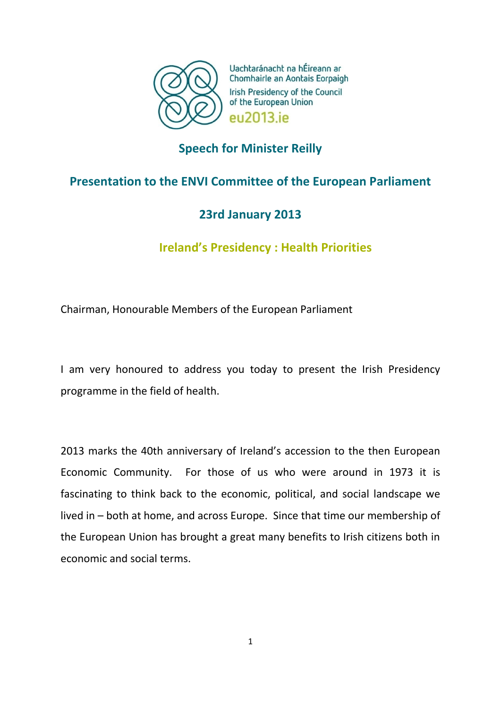

Uachtaránacht na hÉireann ar Chomhairle an Aontais Eorpaigh Irish Presidency of the Council of the European Union **PU2013** iP

# **Speech for Minister Reilly**

# **Presentation to the ENVI Committee of the European Parliament**

# **23rd January 2013**

**Ireland's Presidency : Health Priorities**

Chairman, Honourable Members of the European Parliament

I am very honoured to address you today to present the Irish Presidency programme in the field of health.

2013 marks the 40th anniversary of Ireland's accession to the then European Economic Community. For those of us who were around in 1973 it is fascinating to think back to the economic, political, and social landscape we lived in – both at home, and across Europe. Since that time our membership of the European Union has brought a great many benefits to Irish citizens both in economic and social terms.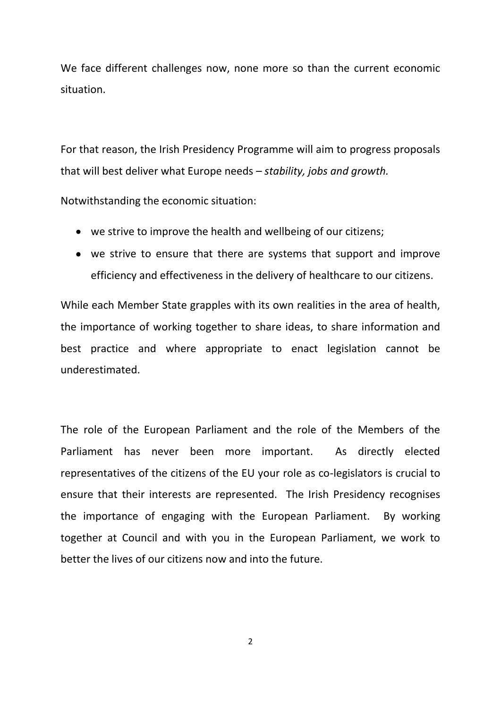We face different challenges now, none more so than the current economic situation.

For that reason, the Irish Presidency Programme will aim to progress proposals that will best deliver what Europe needs *– stability, jobs and growth.*

Notwithstanding the economic situation:

- we strive to improve the health and wellbeing of our citizens;
- we strive to ensure that there are systems that support and improve efficiency and effectiveness in the delivery of healthcare to our citizens.

While each Member State grapples with its own realities in the area of health, the importance of working together to share ideas, to share information and best practice and where appropriate to enact legislation cannot be underestimated.

The role of the European Parliament and the role of the Members of the Parliament has never been more important. As directly elected representatives of the citizens of the EU your role as co-legislators is crucial to ensure that their interests are represented. The Irish Presidency recognises the importance of engaging with the European Parliament. By working together at Council and with you in the European Parliament, we work to better the lives of our citizens now and into the future.

 $\overline{2}$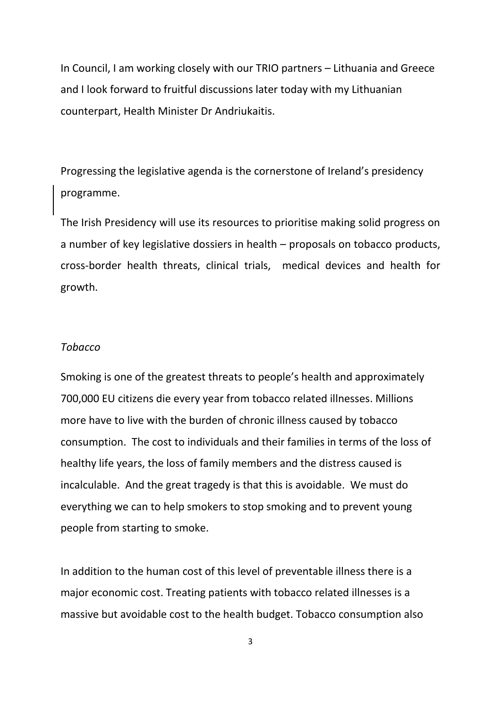In Council, I am working closely with our TRIO partners – Lithuania and Greece and I look forward to fruitful discussions later today with my Lithuanian counterpart, Health Minister Dr Andriukaitis.

Progressing the legislative agenda is the cornerstone of Ireland's presidency programme.

The Irish Presidency will use its resources to prioritise making solid progress on a number of key legislative dossiers in health – proposals on tobacco products, cross-border health threats, clinical trials, medical devices and health for growth.

### *Tobacco*

Smoking is one of the greatest threats to people's health and approximately 700,000 EU citizens die every year from tobacco related illnesses. Millions more have to live with the burden of chronic illness caused by tobacco consumption. The cost to individuals and their families in terms of the loss of healthy life years, the loss of family members and the distress caused is incalculable. And the great tragedy is that this is avoidable. We must do everything we can to help smokers to stop smoking and to prevent young people from starting to smoke.

In addition to the human cost of this level of preventable illness there is a major economic cost. Treating patients with tobacco related illnesses is a massive but avoidable cost to the health budget. Tobacco consumption also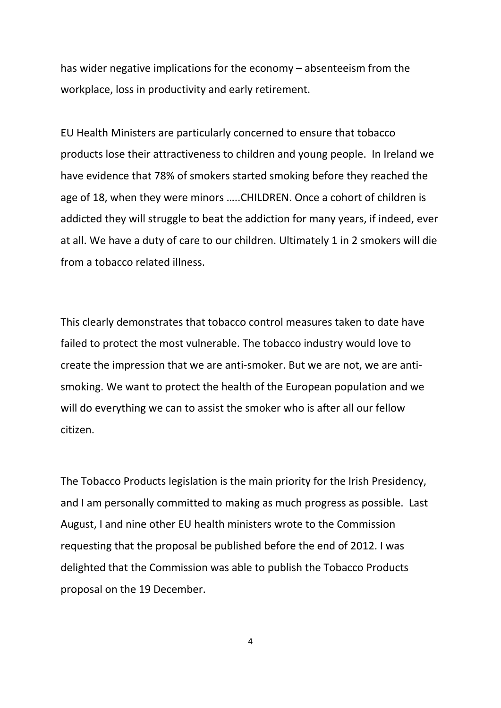has wider negative implications for the economy – absenteeism from the workplace, loss in productivity and early retirement.

EU Health Ministers are particularly concerned to ensure that tobacco products lose their attractiveness to children and young people. In Ireland we have evidence that 78% of smokers started smoking before they reached the age of 18, when they were minors …..CHILDREN. Once a cohort of children is addicted they will struggle to beat the addiction for many years, if indeed, ever at all. We have a duty of care to our children. Ultimately 1 in 2 smokers will die from a tobacco related illness.

This clearly demonstrates that tobacco control measures taken to date have failed to protect the most vulnerable. The tobacco industry would love to create the impression that we are anti-smoker. But we are not, we are antismoking. We want to protect the health of the European population and we will do everything we can to assist the smoker who is after all our fellow citizen.

The Tobacco Products legislation is the main priority for the Irish Presidency, and I am personally committed to making as much progress as possible. Last August, I and nine other EU health ministers wrote to the Commission requesting that the proposal be published before the end of 2012. I was delighted that the Commission was able to publish the Tobacco Products proposal on the 19 December.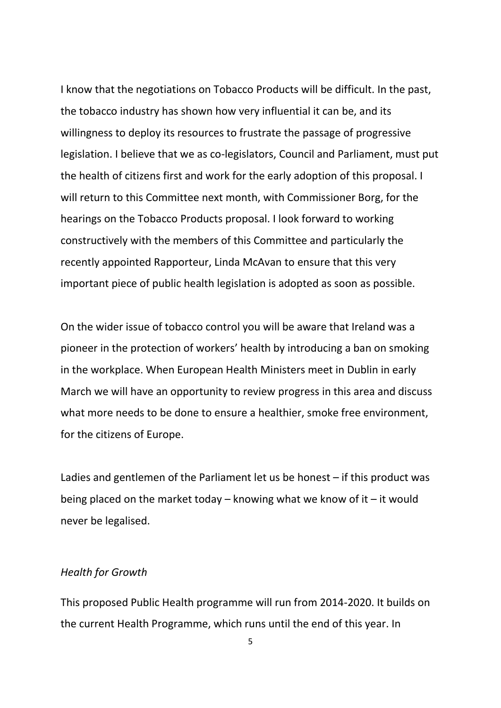I know that the negotiations on Tobacco Products will be difficult. In the past, the tobacco industry has shown how very influential it can be, and its willingness to deploy its resources to frustrate the passage of progressive legislation. I believe that we as co-legislators, Council and Parliament, must put the health of citizens first and work for the early adoption of this proposal. I will return to this Committee next month, with Commissioner Borg, for the hearings on the Tobacco Products proposal. I look forward to working constructively with the members of this Committee and particularly the recently appointed Rapporteur, Linda McAvan to ensure that this very important piece of public health legislation is adopted as soon as possible.

On the wider issue of tobacco control you will be aware that Ireland was a pioneer in the protection of workers' health by introducing a ban on smoking in the workplace. When European Health Ministers meet in Dublin in early March we will have an opportunity to review progress in this area and discuss what more needs to be done to ensure a healthier, smoke free environment, for the citizens of Europe.

Ladies and gentlemen of the Parliament let us be honest – if this product was being placed on the market today – knowing what we know of it – it would never be legalised.

#### *Health for Growth*

This proposed Public Health programme will run from 2014-2020. It builds on the current Health Programme, which runs until the end of this year. In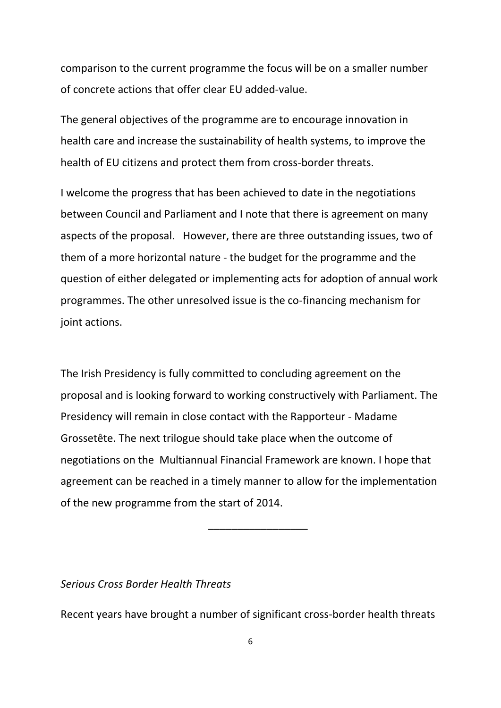comparison to the current programme the focus will be on a smaller number of concrete actions that offer clear EU added-value.

The general objectives of the programme are to encourage innovation in health care and increase the sustainability of health systems, to improve the health of EU citizens and protect them from cross-border threats.

I welcome the progress that has been achieved to date in the negotiations between Council and Parliament and I note that there is agreement on many aspects of the proposal. However, there are three outstanding issues, two of them of a more horizontal nature - the budget for the programme and the question of either delegated or implementing acts for adoption of annual work programmes. The other unresolved issue is the co-financing mechanism for joint actions.

The Irish Presidency is fully committed to concluding agreement on the proposal and is looking forward to working constructively with Parliament. The Presidency will remain in close contact with the Rapporteur - Madame Grossetête. The next trilogue should take place when the outcome of negotiations on the Multiannual Financial Framework are known. I hope that agreement can be reached in a timely manner to allow for the implementation of the new programme from the start of 2014.

\_\_\_\_\_\_\_\_\_\_\_\_\_\_\_\_\_

### *Serious Cross Border Health Threats*

Recent years have brought a number of significant cross-border health threats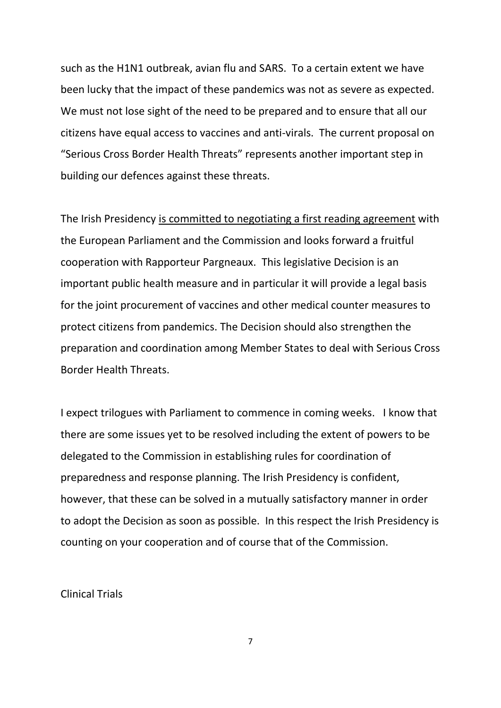such as the H1N1 outbreak, avian flu and SARS. To a certain extent we have been lucky that the impact of these pandemics was not as severe as expected. We must not lose sight of the need to be prepared and to ensure that all our citizens have equal access to vaccines and anti-virals. The current proposal on "Serious Cross Border Health Threats" represents another important step in building our defences against these threats.

The Irish Presidency is committed to negotiating a first reading agreement with the European Parliament and the Commission and looks forward a fruitful cooperation with Rapporteur Pargneaux. This legislative Decision is an important public health measure and in particular it will provide a legal basis for the joint procurement of vaccines and other medical counter measures to protect citizens from pandemics. The Decision should also strengthen the preparation and coordination among Member States to deal with Serious Cross Border Health Threats.

I expect trilogues with Parliament to commence in coming weeks. I know that there are some issues yet to be resolved including the extent of powers to be delegated to the Commission in establishing rules for coordination of preparedness and response planning. The Irish Presidency is confident, however, that these can be solved in a mutually satisfactory manner in order to adopt the Decision as soon as possible. In this respect the Irish Presidency is counting on your cooperation and of course that of the Commission.

Clinical Trials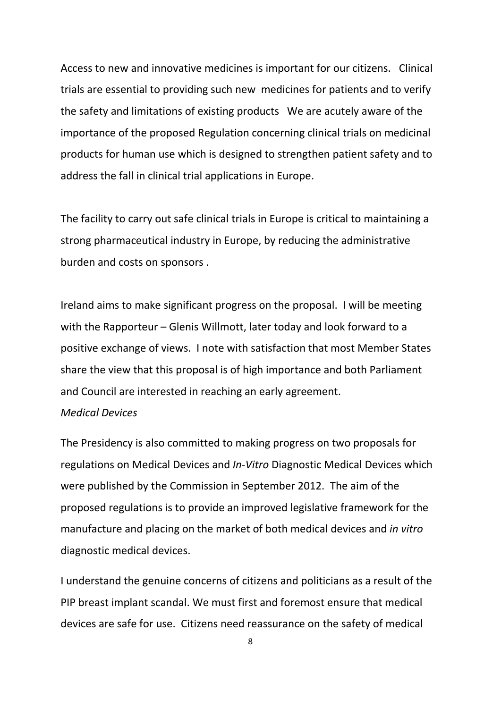Access to new and innovative medicines is important for our citizens. Clinical trials are essential to providing such new medicines for patients and to verify the safety and limitations of existing products We are acutely aware of the importance of the proposed Regulation concerning clinical trials on medicinal products for human use which is designed to strengthen patient safety and to address the fall in clinical trial applications in Europe.

The facility to carry out safe clinical trials in Europe is critical to maintaining a strong pharmaceutical industry in Europe, by reducing the administrative burden and costs on sponsors .

Ireland aims to make significant progress on the proposal. I will be meeting with the Rapporteur – Glenis Willmott, later today and look forward to a positive exchange of views. I note with satisfaction that most Member States share the view that this proposal is of high importance and both Parliament and Council are interested in reaching an early agreement.

### *Medical Devices*

The Presidency is also committed to making progress on two proposals for regulations on Medical Devices and *In-Vitro* Diagnostic Medical Devices which were published by the Commission in September 2012. The aim of the proposed regulations is to provide an improved legislative framework for the manufacture and placing on the market of both medical devices and *in vitro* diagnostic medical devices.

I understand the genuine concerns of citizens and politicians as a result of the PIP breast implant scandal. We must first and foremost ensure that medical devices are safe for use. Citizens need reassurance on the safety of medical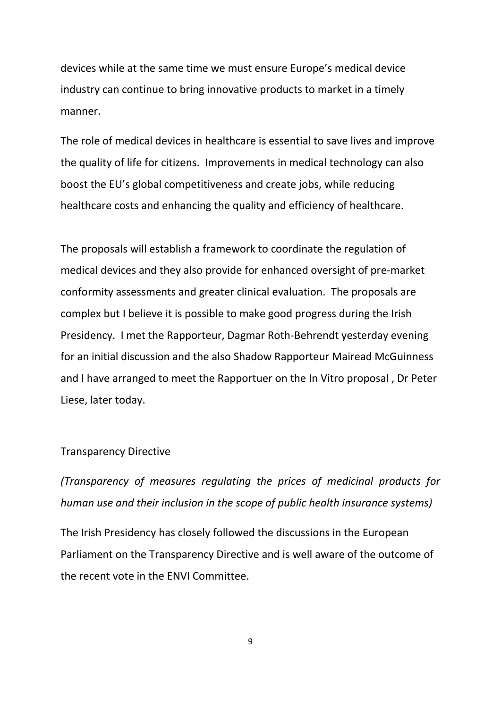devices while at the same time we must ensure Europe's medical device industry can continue to bring innovative products to market in a timely manner.

The role of medical devices in healthcare is essential to save lives and improve the quality of life for citizens. Improvements in medical technology can also boost the EU's global competitiveness and create jobs, while reducing healthcare costs and enhancing the quality and efficiency of healthcare.

The proposals will establish a framework to coordinate the regulation of medical devices and they also provide for enhanced oversight of pre-market conformity assessments and greater clinical evaluation. The proposals are complex but I believe it is possible to make good progress during the Irish Presidency. I met the Rapporteur, Dagmar Roth-Behrendt yesterday evening for an initial discussion and the also Shadow Rapporteur Mairead McGuinness and I have arranged to meet the Rapportuer on the In Vitro proposal , Dr Peter Liese, later today.

### Transparency Directive

*(Transparency of measures regulating the prices of medicinal products for human use and their inclusion in the scope of public health insurance systems)*

The Irish Presidency has closely followed the discussions in the European Parliament on the Transparency Directive and is well aware of the outcome of the recent vote in the ENVI Committee.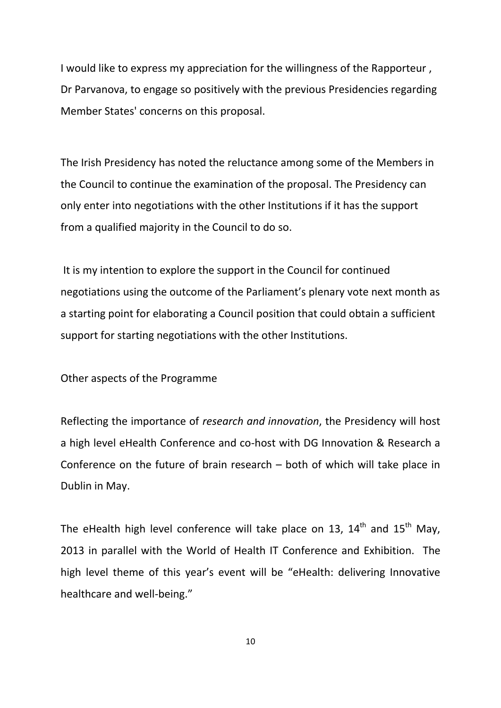I would like to express my appreciation for the willingness of the Rapporteur , Dr Parvanova, to engage so positively with the previous Presidencies regarding Member States' concerns on this proposal.

The Irish Presidency has noted the reluctance among some of the Members in the Council to continue the examination of the proposal. The Presidency can only enter into negotiations with the other Institutions if it has the support from a qualified majority in the Council to do so.

It is my intention to explore the support in the Council for continued negotiations using the outcome of the Parliament's plenary vote next month as a starting point for elaborating a Council position that could obtain a sufficient support for starting negotiations with the other Institutions.

Other aspects of the Programme

Reflecting the importance of *research and innovation*, the Presidency will host a high level eHealth Conference and co-host with DG Innovation & Research a Conference on the future of brain research – both of which will take place in Dublin in May.

The eHealth high level conference will take place on 13,  $14<sup>th</sup>$  and  $15<sup>th</sup>$  May, 2013 in parallel with the World of Health IT Conference and Exhibition. The high level theme of this year's event will be "eHealth: delivering Innovative healthcare and well-being."